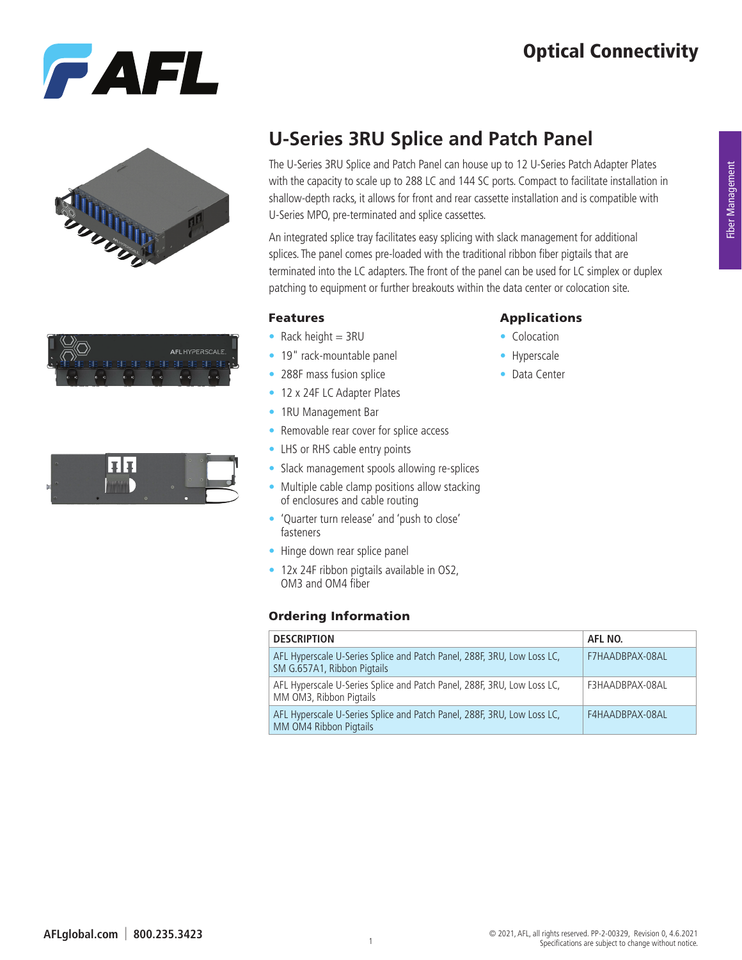# Optical Connectivity









## **U-Series 3RU Splice and Patch Panel**

The U-Series 3RU Splice and Patch Panel can house up to 12 U-Series Patch Adapter Plates with the capacity to scale up to 288 LC and 144 SC ports. Compact to facilitate installation in shallow-depth racks, it allows for front and rear cassette installation and is compatible with U-Series MPO, pre-terminated and splice cassettes.

An integrated splice tray facilitates easy splicing with slack management for additional splices. The panel comes pre-loaded with the traditional ribbon fiber pigtails that are terminated into the LC adapters. The front of the panel can be used for LC simplex or duplex patching to equipment or further breakouts within the data center or colocation site.

#### Features

- Rack height  $=$  3RU
- 19" rack-mountable panel
- 288F mass fusion splice
- 12 x 24F LC Adapter Plates
- 1RU Management Bar
- Removable rear cover for splice access
- LHS or RHS cable entry points
- Slack management spools allowing re-splices
- Multiple cable clamp positions allow stacking of enclosures and cable routing
- 'Quarter turn release' and 'push to close' fasteners
- Hinge down rear splice panel
- 12x 24F ribbon pigtails available in OS2, OM3 and OM4 fiber

#### Ordering Information

#### **DESCRIPTION AFL NO.** AFL Hyperscale U-Series Splice and Patch Panel, 288F, 3RU, Low Loss LC, SM G.657A1, Ribbon Pigtails F7HAADBPAX-08AL AFL Hyperscale U-Series Splice and Patch Panel, 288F, 3RU, Low Loss LC, MM OM3, Ribbon Pigtails F3HAADBPAX-08AL AFL Hyperscale U-Series Splice and Patch Panel, 288F, 3RU, Low Loss LC, MM OM4 Ribbon Pigtails F4HAADBPAX-08AL

#### Applications

- Colocation
- Hyperscale
- Data Center